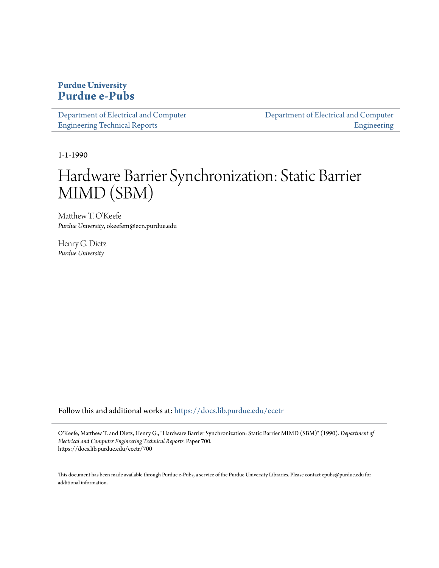### **Purdue University [Purdue e-Pubs](https://docs.lib.purdue.edu?utm_source=docs.lib.purdue.edu%2Fecetr%2F700&utm_medium=PDF&utm_campaign=PDFCoverPages)**

| Department of Electrical and Computer |  |
|---------------------------------------|--|
| <b>Engineering Technical Reports</b>  |  |

[Department of Electrical and Computer](https://docs.lib.purdue.edu/ece?utm_source=docs.lib.purdue.edu%2Fecetr%2F700&utm_medium=PDF&utm_campaign=PDFCoverPages) [Engineering](https://docs.lib.purdue.edu/ece?utm_source=docs.lib.purdue.edu%2Fecetr%2F700&utm_medium=PDF&utm_campaign=PDFCoverPages)

1-1-1990

## Hardware Barrier Synchronization: Static Barrier MIMD (SBM)

Matthew T. O'Keefe *Purdue University*, okeefem@ecn.purdue.edu

Henry G. Dietz *Purdue University*

Follow this and additional works at: [https://docs.lib.purdue.edu/ecetr](https://docs.lib.purdue.edu/ecetr?utm_source=docs.lib.purdue.edu%2Fecetr%2F700&utm_medium=PDF&utm_campaign=PDFCoverPages)

O'Keefe, Matthew T. and Dietz, Henry G., "Hardware Barrier Synchronization: Static Barrier MIMD (SBM)" (1990). *Department of Electrical and Computer Engineering Technical Reports.* Paper 700. https://docs.lib.purdue.edu/ecetr/700

This document has been made available through Purdue e-Pubs, a service of the Purdue University Libraries. Please contact epubs@purdue.edu for additional information.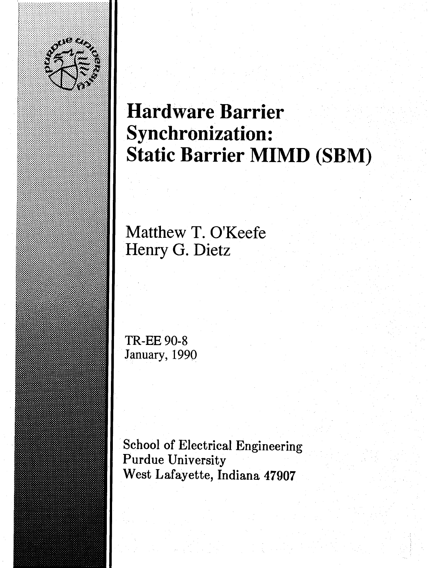

■■■■■I

# **Hardware Barrier Synchronization: Static Barrier MIMD (SBM)**

**Matthew T. O'Keefe Henry G. Dietz**

**TR-EE 90-8 January, 1990**

**School of Electrical Engineering Purdue University West Lafayette, Indiana 47907**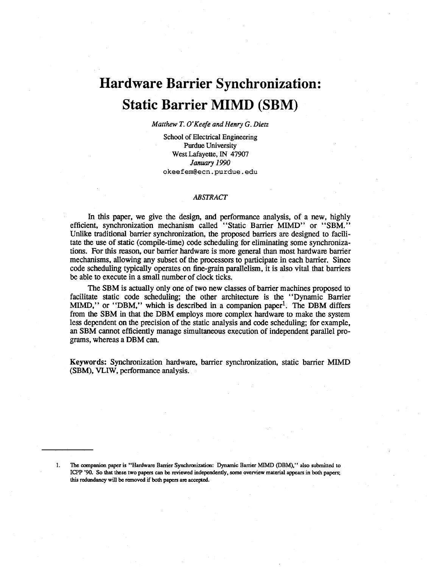## **Hardware Barrier Synchronization: Static Barrier MIMD (SBM)**

*Matthew T. O'Keefe and Henry G. Dietz*

School of Electrical Engineering Purdue University West Lafayette, IN 47907 *January 1990* **okeefem@ecn.purdue.edu**

#### *ABSTRACT*

In this paper, we give the design, and performance analysis, of a new, highly efficient, synchronization mechanism called "Static Barrier MIMD" or "SBM." Unlike traditional barrier synchronization, the proposed barriers are designed to facilitate the use of static (compile-time) code scheduling for eliminating some synchronizations. For this reason, our barrier hardware is more general than most hardware barrier mechanisms, allowing any subset of the processors to participate in each barrier. Since code scheduling typically operates on fine-grain parallelism, it is also vital that barriers be able to execute in a small number of clock ticks.

The SBM is actually only one of two new classes of barrier machines proposed to facilitate static code scheduling; the other architecture is the " Dynamic Barrier MIMD," or " $DBM$ ," which is described in a companion paper<sup>1</sup>. The DBM differs from the SBM in that the DBM employs more complex hardware to make the system less dependent on the precision of the static analysis and code scheduling; for example, an SBM cannot efficiently manage simultaneous execution of independent parallel programs, whereas a DBM can.

**Keywords:** Synchronization hardware, barrier synchronization, static barrier MIMD (SBM), VLIW, performance analysis.

The companion paper is "Hardware Barrier Synchronization: Dynamic Barrier MIMD (DBM)," also submitted to ICPP '90. So that these two papers can be reviewed independently, some overview material appears in both papers; this redundancy will be removed if both papers are accepted.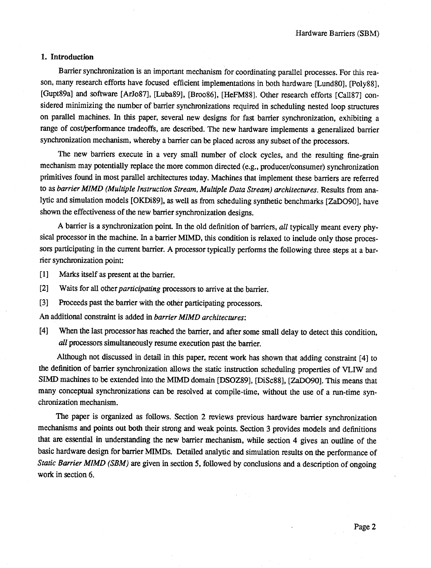#### I. Introduction

Barrier synchronization is an important mechanism for coordinating parallel processes. For this reason, many research efforts have focused efficient implementations in both hardware [Lund80], [Poly88], [Gupt89a] and software [ArJo87], [Luba89], [Broo86], [HeFM88], Other research efforts [Call87] considered minimizing the number of barrier synchronizations required in scheduling nested loop structures on parallel machines. In this paper, several new designs for fast barrier synchronization, exhibiting a range of cost/performance tradeoffs, are described. The new hardware implements a generalized barrier synchronization mechanism, whereby a barrier can be placed across any subset of the processors.

The new barriers execute in a very small number of clock cycles, and the resulting fine-grain mechanism may potentially replace the more common directed (e.g., producer/consumer) synchronization primitives found in most parallel architectures today. Machines that implement these barriers are referred to as *barrier MIMD (Multiple Instruction Stream, Multiple Data Stream) architectures.* Results from analytic and simulation models [OKDi89], as well as from scheduling synthetic benchmarks [ZaDO90], have shown the effectiveness of the new barrier synchronization designs.

A barrier is a synchronization point. In the old definition of barriers, *all* typically meant every physical processor in the machine. In a barrier MIMD, this condition is relaxed to include only those processors participating in the current barrier. A processor typically performs the following three steps at a barrier synchronization point:

[1] Marks itself as present at the barrier.

- [2] Waits for all other *participating* processors to arrive at the barrier.
- [3] Proceeds past the barrier with the other participating processors.

An additional constraint is added in *barrier MIMD architectures:*

[4] When the last processor has reached the barrier, and after some small delay to detect this condition, *all* processors simultaneously resume execution past the barrier.

Although not discussed in detail in this paper, recent work has shown that adding constraint [4] to the definition of barrier synchronization allows the static instruction scheduling properties of VLIW and SIMD machines to be extended into the MIMD domain [DSOZ89], [DiSc88], [ZaDO90]. This means that many conceptual synchronizations can be resolved at compile-time, without the use of a run-time synchronization mechanism.

The paper is organized as follows. Section 2 reviews previous hardware barrier synchronization mechanisms and points out both their strong and weak points. Section 3 provides models and definitions that are essential in understanding the new barrier mechanism, while section 4 gives an outline of the basic hardware design for barrier MIMDs. Detailed analytic and simulation results on the performance of *Static Barrier MIMD (SBM)* are given in section 5, followed by conclusions and a description of ongoing work in section 6.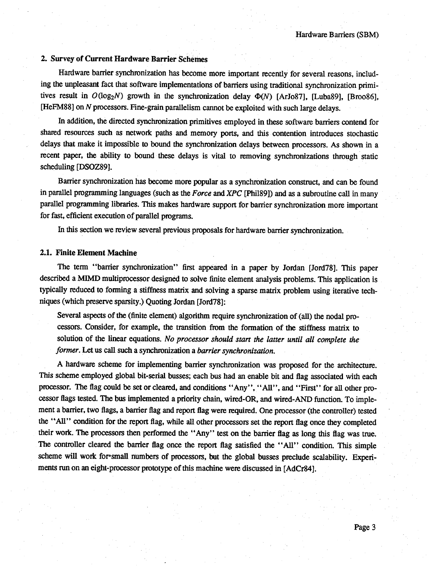#### **2. Survey of Current Hardware Barrier Schemes**

Hardware barrier synchronization has become more important recently for several reasons, including the unpleasant fact that software implementations of barriers using traditional synchronization primitives result in  $O(log_2N)$  growth in the synchronization delay  $\Phi(N)$  [ArJo87], [Luba89], [Broo86], [HeFM88] on *N* processors. Fine-grain parallelism cannot be exploited with such large delays.

In addition, the directed Synchronization primitives employed in these software barriers contend for shared resources such as network paths and memory ports, and this contention introduces stochastic delays that make it impossible to bound the synchronization delays between processors. As shown in a recent paper, the ability to bound these delays is vital to removing synchronizations through static scheduling [DSOZ89J.

Barrier synchronization has become more popular as a synchronization construct, and can be found in parallel programming languages (such as the *Force* and *XPC* [Phil89]) and as a subroutine call in many parallel programming libraries. This makes hardware support for barrier synchronization more important for fast, efficient execution of parallel programs.

In this section we review several previous proposals for hardware barrier synchronization.

#### **2.1. Finite Element Machine**

The term "barrier synchronization" first appeared in a paper by Jordan [Jord78]. This paper described a MIMD multiprocessor designed to solve finite element analysis problems. This application is typically reduced to forming a stiffness matrix and solving a sparse matrix problem using iterative techniques (which preserve sparsity.) Quoting Jordan [Jord78]:

Several aspects of the (finite element) algorithm require synchronization of (all) the nodal processors. Consider, for example, the transition from the formation of the stiffness matrix to solution of the linear equations. *No processor should start the latter until all complete the former.* Let us call such a synchronization a *barrier synchronization.*

A hardware scheme for implementing barrier synchronization was proposed for the architecture. This scheme employed global bit-serial busses; each bus had an enable bit and flag associated with each processor. The flag could be set or cleared, and conditions "Any", "All", and "First" for all other processor flags tested. The bus implemented a priority chain, wired-OR, and wired-AND function. To implement a barrier, two flags, a barrier flag and report flag were required. One processor (the controller) tested the " All" condition for the report flag, while all other processors set the report flag once they completed their work. The processors then performed the " Any" test on the barrier flag as long this flag was true. The controller cleared the barrier flag once the report flag satisfied the "All" condition. This simple scheme will work for\*small numbers of processors, but the global busses preclude scalability. Experiments run on an eight-processor prototype of this machine were discussed in [AdCr84].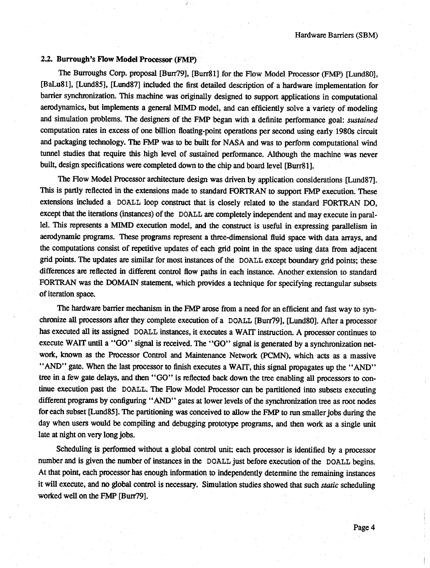#### 2.2. Burrough's Flow Model Processor (FMP)

The Burroughs Corp. proposal [Bun79], [Burr81] for the Flow Model Processor (FMP) [Lund80], [BaLu81], [Lund85], [Lund87] included the first detailed description of a hardware implementation for barrier synchronization. This machine was originally designed to support applications in computational aerodynamics, but implements a general MIMD model, and can efficiently solve a variety of modeling and simulation problems. The designers of the FMP began with a definite performance goal: *sustained* computation rates in excess of one billion floating-point operations per second using early 1980s circuit and packaging technology. The FMP was to be built for NASA and was to perform computational wind tunnel studies that require this high level of sustained performance. Although the machine was never built, design specifications were completed down to the chip and board level [Burr81].

The Flow Model Processor architecture design was driven by application considerations [Lund87]. This is partly reflected in the extensions made to standard FORTRAN to support FMP execution. These extensions included a DOALL loop construct that is closely related to the standard FORTRAN DO, except that the iterations (instances) of the DOALL are completely independent and may execute in parallel. This represents a MIMD execution model, and the construct is useful in expressing parallelism in aerodynamic programs. These programs represent a three-dimensional fluid space with data arrays, and the computations consist of repetitive updates of each grid point in the space using data from adjacent grid points. The updates are similar for most instances of the DOALL except boundary grid points; these differences are reflected in different control flow paths in each instance. Another extension to standard FORTRAN was the DOMAIN statement, which provides a technique for specifying rectangular subsets of iteration space.

The hardware barrier mechanism in the FMP arose from a need for an efficient and fast way to synchronize all processors after they complete execution of a DOALL [Burr79], [Lund80]. After a processor has executed all its assigned DOALL instances, it executes a WAIT instruction. A processor continues to execute WAIT until a "GO" signal is received. The "GO" signal is generated by a synchronization network, known as the Processor Control and Maintenance Network (PCMN), which acts as a massive " AND" gate. When the last processor to finish executes a WAIT, this signal propagates up the "AND" tree in a few gate delays, and then "GO" is reflected back down the tree enabling all processors to continue execution past the DOALL. The Flow Model Processor can be partitioned into subsets executing different programs by configuring "AND" gates at lower levels of the synchronization tree as root nodes for each subset [Lund85] . The partitioning was conceived to allow the FMP to run smaller jobs during the day when users would be compiling and debugging prototype programs, and then work as a single unit late at night on very long jobs.

Scheduling is performed without a global control unit; each processor is identified by a processor number and is given the number of instances in the DOALL just before execution of the DOALL begins. At that point, each processor has enough information to independently determine the remaining instances it will execute, and no global control is necessary. Simulation studies showed that such *static* scheduling worked well on the FMP [Burr79].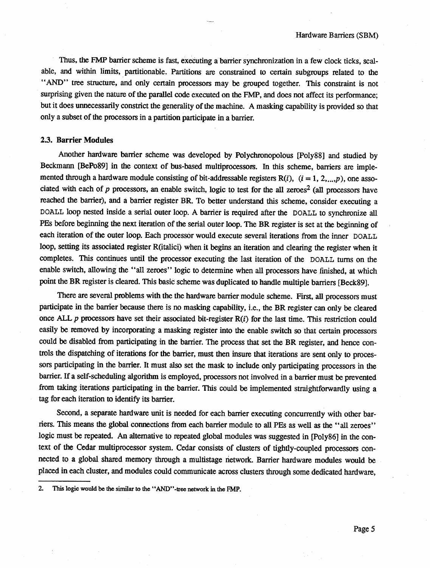Thus, the FMP barrier scheme is fast, executing a barrier synchronization in a few clock ticks, scalable, and within limits, partitionable. Partitions are constrained to certain subgroups related to the "AND" tree structure, and only certain processors may be grouped together. This constraint is not surprising given the nature of the parallel code executed on the FMP, and does not affect its performance; but it does unnecessarily constrict the generality of the machine. A masking capability is provided so that only a subset of the processors in a partition participate in a barrier.

#### **2.3. Barrier Modules**

Another hardware barrier scheme was developed by Polychronopolous [Poly88] and studied by Beckmann [BePo89] in the context of bus-based multiprocessors. In this scheme, barriers are implemented through a hardware module consisting of bit-addressable registers  $R(i)$ ,  $(i = 1, 2, ..., p)$ , one associated with each of *p* processors, an enable switch, logic to test for the all zeroes<sup>2</sup> (all processors have reached the barrier), and a barrier register BR. To better understand this scheme, consider executing a DOALL loop nested inside a serial outer loop. A barrier is required after the DOALL to synchronize all PEs before beginning the next iteration of the serial outer loop. The BR register is set at the **beginning** of each iteration of the outer loop. Each processor would execute several iterations from the inner DOALL loop, setting its associated register R(italici) when it begins an iteration and clearing the register when it completes. This continues until the processor executing the last iteration of the DOALL turns on the enable switch, allowing the "all zeroes" logic to determine when all processors have finished, at which point the BR register is cleared. This basic scheme was duplicated to handle multiple barriers [Beck89].

There are several problems with the the hardware barrier module scheme. First, all processors must participate in the barrier because there is no masking capability, i.e., the BR register can only be cleared once ALL *p* processors have set their associated bit-register R(i) for the last time. This restriction could easily be removed by incorporating a masking register into the enable switch so that certain processors could be disabled from participating in the barrier. The process that set the BR register, and hence controls the dispatching of iterations for the barrier, must then insure that iterations are sent only to processors participating in the barrier. It must also set the mask to include only participating processors in the barrier. If a self-scheduling algorithm is employed, processors not involved in a barrier must be prevented from taking iterations participating in the barrier. This could be implemented straightforwardly using a tag for each iteration to identify its barrier.

Second, a separate hardware unit is needed for each barrier executing concurrently with other barriers. This means the global connections from each barrier module to all PEs as well as the "all zeroes" logic must be repeated. An alternative to repeated global modules was suggested in [Poly86] in the context of the Cedar multiprocessor system. Cedar consists of clusters of tightly-coupled processors connected to a global shared memory through a multistage network. Barrier hardware modules would be placed in each cluster, and modules could communicate across clusters through some dedicated hardware,

<sup>2.</sup> This logic would be the similar to the \* 'AND' '-tree network in the FMP.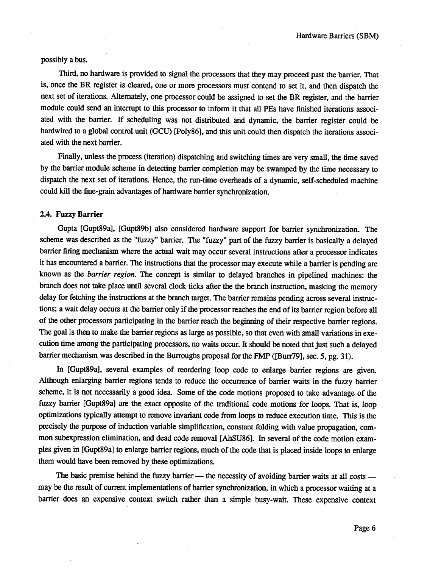possibly a bus.

Third, no hardware is provided to signal the processors that they may proceed past the barrier. That is, once the BR register is cleared, one or more processors must contend to set it, and then dispatch the next set of iterations. Alternately, one processor could be assigned to set the BR register, and the barrier module could send an interrupt to this processor to inform it that all PEs have finished iterations associated with the barrier. If scheduling was not distributed and dynamic, the barrier register could be hardwired to a global control unit (GCU) [Poly86], and this unit could then dispatch the iterations associated with the next barrier.

Finally, unless the process (iteration) dispatching and switching times are very small, the time saved by the barrier module scheme in detecting barrier completion may be swamped by the time necessary to dispatch the next set of iterations. Hence, the run-time overheads of a dynamic, self-scheduled machine could kill the fine-grain advantages of hardware barrier synchronization.

#### **2.4. FuzzyBarrier**

Gupta [Gupt89a], [Gupt89b] also considered hardware support for barrier synchronization. The scheme was described as the "fuzzy" barrier. The "fuzzy" part of the fuzzy barrier is basically a delayed barrier firing mechanism where the actual wait may occur several instructions after a processor indicates it has encountered a barrier. The instructions that the processor may execute while a barrier is pending are known as the *barrier region.* The concept is similar to delayed branches in pipelined machines: the branch does not take place until several clock ticks after the the branch instruction, masking the memory delay for fetching the instructions at the branch target. The barrier remains pending across several instructions; a wait delay occurs at the banier only if the processor reaches the end of its barrier region before all of the other processors participating in the barrier reach the beginning of their respective barrier regions. The goal is then to make the barrier regions as large as possible, so that even with small variations in execution time among the participating processors, no waits occur. It should be noted that just such a delayed barrier mechanism was described in the Burroughs proposal for the FMP ([Bun79], sec. 5, pg. 31).

In [Gupt89a], several examples of reordering loop code to enlarge barrier regions are given. Although enlarging barrier regions tends to reduce the occurrence of barrier waits in the fuzzy barrier scheme, it is not necessarily a good idea. Some of the code motions proposed to take advantage of the fuzzy banier [Gupt89a] are the exact opposite of the traditional code motions for loops. That is, loop optimizations typically attempt to remove invariant code from loops to reduce execution time. This is the precisely the purpose of induction variable simplification, constant folding with value propagation, common subexpression elimination, and dead code removal [AhSU86]. In several of the code motion examples given in [Gupt89a] to enlarge barrier regions, much of the code that is placed inside loops to enlarge them would have been removed by these optimizations.

The basic premise behind the fuzzy barrier — the necessity of avoiding barrier waits at all costs may be the result of current implementations of banier synchronization, in which a processor waiting at a barrier does an expensive context switch rather than a simple busy-wait. These expensive context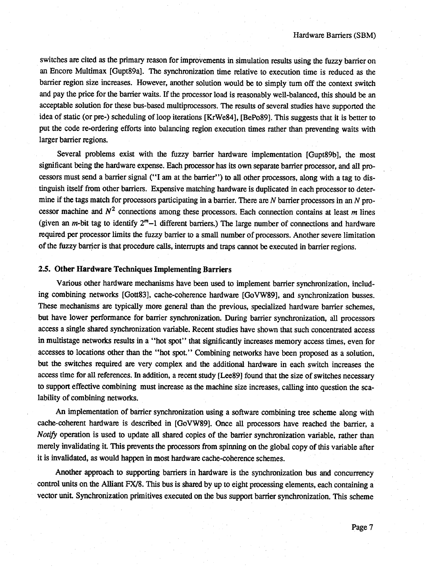switches are cited as the primary reason for improvements in simulation results using the fuzzy barrier on an Encore Multimax [Gupt89a]. The synchronization time relative to execution time is reduced as the barrier region size increases. However, another solution would be to simply turn off the context switch and pay the price for the barrier waits. If the processor load is reasonably well-balanced, this should be an acceptable solution for these bus-based multiprocessors. The results of several studies have supported the idea of static (or pre-) scheduling of loop iterations [KrWe84], [BePo89]. This suggests that it is better to put the code re-ordering efforts into balancing region execution times rather than preventing waits with larger barrier regions.

Several problems exist with the fuzzy barrier hardware implementation [Gupt89b], the most significant being the hardware expense. Each processor has its own separate barrier processor, and all processors must send a barrier signal (" I am at the barrier" ) to all other processors, along with a tag to distinguish itself from other barriers. Expensive matching hardware is duplicated in each processor to determine if the tags match for processors participating in a barrier. There are *N* barrier processors in an *N* processor machine and  $N^2$  connections among these processors. Each connection contains at least  $m$  lines (given an  $m$ -bit tag to identify  $2<sup>m</sup>-1$  different barriers.) The large number of connections and hardware required per processor limits the fuzzy barrier to a small number of processors. Another severe limitation of the fuzzy barrier is that procedure calls, interrupts and traps cannot be executed in barrier regions.

#### 2.5. Other Hardware Techniques Implementing Barriers

Various other hardware mechanisms have been used to implement barrier synchronization, including combining networks [Gott83], cache-coherence hardware [GoVW89], and synchronization busses. These mechanisms are typically more general than the previous, specialized hardware barrier schemes, but have lower performance for barrier synchronization. During barrier synchronization, all processors access a single shared synchronization variable. Recent studies have shown that such concentrated access in multistage networks results in a " hot spot" that significantly increases memory access times, even for accesses to locations other than the "hot spot." Combining networks have been proposed as a solution, but the switches required are very complex and the additional hardware in each switch increases the access time for all references. In addition, a recent study [Lee89] found that the size of switches necessary to support effective combining must increase as the machine size increases, calling into question the scalability of combining networks.

An implementation of barrier synchronization using a software combining tree scheme along with cache-coherent hardware is described in [GoVW89]. Once all processors have reached the barrier, a *Notify* operation is used to update all shared copies of the barrier synchronization variable, rather than merely invalidating it. This prevents the processors from spinning on the global copy of this variable after it is invalidated, as would happen in most hardware cache-coherence schemes.

Another approach to supporting barriers in hardware is the synchronization bus and concurrency control units on the Alliant FX/8. This bus is shared by up to eight processing elements, each containing a vector unit. Synchronization primitives executed on the bus support barrier synchronization. This scheme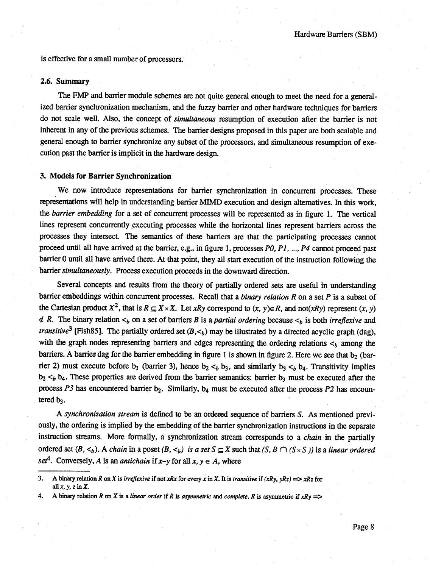is effective for a small number of processors.

#### **2.6. Summary**

The FMP and barrier module schemes are not quite general enough to meet the need for a generalized barrier synchronization mechanism, and the fuzzy barrier and other hardware techniques for barriers do not scale well. Also, the concept of *simultaneous* resumption of execution after the barrier is not inherent in any of the previous schemes. The barrier designs proposed in this paper are both scalable and general enough to barrier synchronize any subset of the processors, and simultaneous resumption of execution past the barrier is implicit in the hardware design.

#### **3. Models for Barrier Synchronization**

We now introduce representations for barrier synchronization in concurrent processes. These representations will help in understanding barrier MIMD execution and design alternatives. In this work, the *barrier embedding* for a set of concurrent processes will be represented as in figure I. The vertical lines represent concurrently executing processes while the horizontal lines represent barriers across die processes they intersect. The semantics of these barriers are that the participating processes cannot proceed until all have arrived at the barrier, e.g., in figure I, processes *PO, P I*, .... *P4* cannot proceed past barrier 0 until all have arrived there. At that point, they all start execution of the instruction following the barrier *simultaneously.* Process execution proceeds in the downward direction.

Several concepts and results from the theory of partially ordered sets are useful in understanding barrier embeddings within concurrent processes. Recall that a *binary relation R* on a set *P* is a subset of the Cartesian product  $X^2$ , that is  $R \subseteq X \times X$ . Let *xRy* correspond to  $(x, y) \in R$ , and not(*xRy*) represent  $(x, y)$  $\notin$  *R*. The binary relation  $\lt_b$  on a set of barriers *B* is a *partial ordering* because  $\lt_b$  is both *irreflexive* and *transitive*<sup>3</sup> [Fish85]. The partially ordered set  $(B, \lt_b)$  may be illustrated by a directed acyclic graph (dag), with the graph nodes representing barriers and edges representing the ordering relations  $\lt_b$  among the barriers. A barrier dag for the barrier embedding in figure 1 is shown in figure 2. Here we see that  $b_2$  (barrier 2) must execute before b<sub>3</sub> (barrier 3), hence  $b_2 <_b b_3$ , and similarly  $b_3 <_b b_4$ . Transitivity implies  $b_2 <_b b_4$ . These properties are derived from the barrier semantics: barrier  $b_3$  must be executed after the process  $P3$  has encountered barrier  $b_2$ . Similarly,  $b_4$  must be executed after the process  $P2$  has encountered  $b_3$ .

A *synchronization stream* is defined to be an ordered sequence of barriers *S*. As mentioned previously, the ordering is implied by the embedding of the barrier synchronization instructions in the separate instruction streams. More formally, a synchronization stream corresponds to a *chain* in the partially ordered set  $(B, \le_b)$ . A *chain* in a poset  $(B, \le_b)$  *is a set*  $S \subseteq X$  such that  $(S, B \cap (S \times S))$  is a *linear ordered set<sup>4</sup>*. Conversely, *A* is an *antichain* if *x*-*y* for all *x*,  $y \in A$ , where

<sup>3.</sup> A binary relation *R* on *X* is *irreflexive* if not *xRx* for every *x* in *X*. It is *transitive* if  $(xRy, yRz) \implies xRz$  for allx.y, *zinX .*

<sup>4.</sup> A binary relation *R* on *X* is a *linear order* if *R* is *asymmetric* and *complete. R* is asymmetric if  $xRy \implies$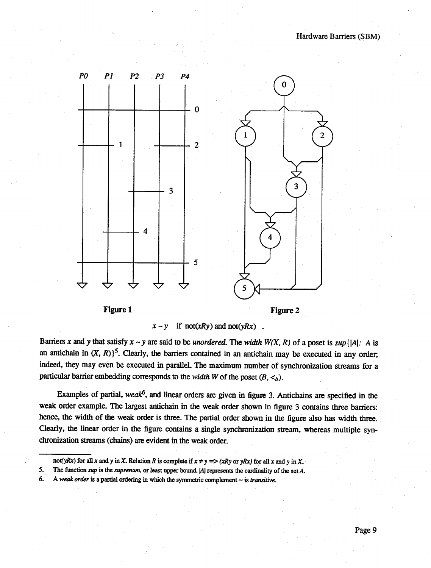

 $x - y$  if not(*xRy*) and not(*yRx*).

Barriers *x* and *y* that satisfy  $x \sim y$  are said to be *unordered*. The *width*  $W(X, R)$  of a poset is  $sup\{|A|$ . *A* is an antichain in  $(X, R)$ <sup>5</sup>. Clearly, the barriers contained in an antichain may be executed in any order, indeed, they may even be executed in parallel. The maximum number of synchronization streams for a particular barrier embedding corresponds to the *width* W of the poset  $(B, \lt_b)$ .

Examples of partial, *we ak*<sup>6</sup>, and linear orders are given in figure 3. Antichains are specified in the weak order example. The largest antichain in the weak order shown in figure 3 contains three barriers: hence, the width of the weak order is three. The partial order shown in the figure also has width three. Clearly, the linear order in the figure contains a single synchronization stream, whereas multiple synchronization streams (chains) are evident in the weak order.

not(*yRx*) for all *x* and *y* in *X*. Relation *R* is complete if  $x \neq y \implies (xRy)$  or  $yRx$  for all *x* and *y* in *X*.

<sup>5.</sup> The function *sup* is the *suprenum,* or least upper bound. |A| represents the cardinality of the set *A.*

<sup>6.</sup> A *weak order* is a partial ordering in which the symmetric complement — is *transitive.*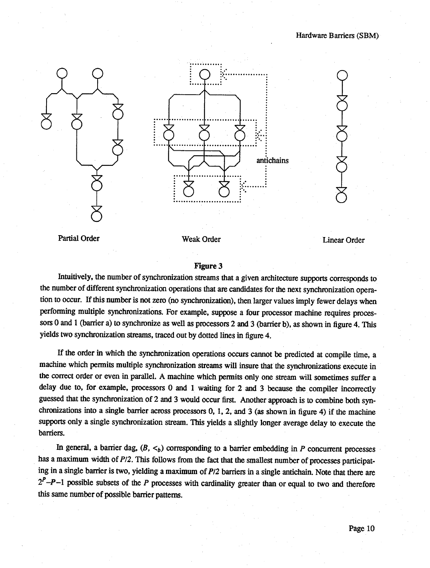

Partial Order

Weak Order Linear Order Linear Order

#### Figure 3

Intuitively, the number of synchronization streams that a given architecture supports corresponds to the number of different synchronization operations that are candidates for the next synchronization operation to occur. If this number is not zero (no synchronization), then larger values imply fewer delays when performing multiple synchronizations. For example, suppose a four processor machine requires processors O and I (barrier a) to synchronize as well as processors 2 and 3 (barrier b), as shown in figure 4. This yields two synchronization streams, traced out by dotted lines in figure 4.

If the order in which the synchronization operations occurs cannot be predicted at compile time, a machine which permits multiple synchronization streams will insure that the synchronizations execute in the correct order or even in parallel. A machine which permits only one stream will sometimes suffer a delay due to, for example, processors G and I waiting for 2 and 3 because the compiler incorrectly guessed that the synchronization of 2 and 3 would occur first. Another approach is to combine both synchronizations into a single barrier across processors 0, I, 2, and 3 (as shown in figure 4) if the machine supports only a single synchronization stream. This yields a slightly longer average delay to execute the barriers.

In general, a barrier dag,  $(B, \lt_b)$  corresponding to a barrier embedding in *P* concurrent processes has a maximum width of *P*/2. This follows from the fact that the smallest number of processes participating in a single barrier is two, yielding a maximum of *PU* barriers in a single antichain. Note that there are  $2^P - P - 1$  possible subsets of the *P* processes with cardinality greater than or equal to two and therefore this same number of possible barrier patterns.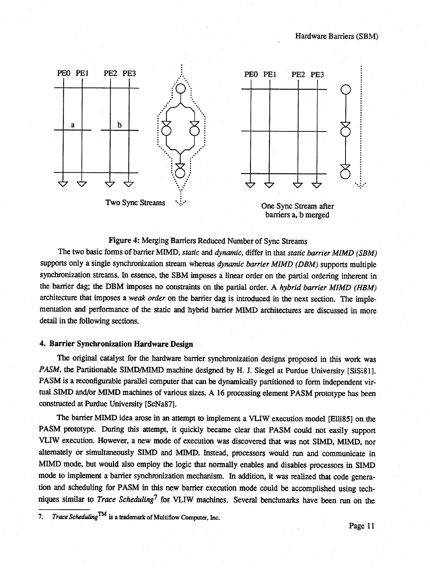

barriers a, b merged

#### Figure 4: Merging Barriers Reduced Number of Sync Streams

The two basic forms of barrier MIMD, *static* and *dynamic*, differ in that *static barrier MIMD* (SBM) supports only a single synchronization stream whereas *dynamic barrier MIMD (DBM)* supports multiple synchronization streams. In essence, the SBM imposes a linear order on the partial ordering inherent in the barrier dag; the DBM imposes no constraints on the partial order. A *hybrid barrier MIMD (HBM)* architecture that imposes a *weak order* on the barrier dag is introduced in the next section. The implementation and performance of the static and hybrid barrier MIMD architectures are discussed in more detail in the following sections.

#### **4. Barrier Synchronization Hardware Design**

The original catalyst for the hardware barrier synchronization designs proposed in this work was *PASM*, the Partitionable SIMD/MIMD machine designed by H. J. Siegel at Purdue University [SiSi81]. PASM is a reconfigurable parallel computer that can be dynamically partitioned to form independent virtual SIMD and/or MIMD machines of various sizes. A 16 processing element PASM prototype has been constructed at Purdue University [ScNa87].

The barrier MIMD idea arose in an attempt to implement a VLIW execution model [Elli85] on the PASM prototype. During this attempt, it quickly became clear that PASM could not easily support VLIW execution. However, a new mode of execution was discovered that was not SIMD, MIMD, nor alternately or simultaneously SIMD and MIMD. Instead, processors would run and communicate in MIMD mode, but would also employ the logic that normally enables and disables processors in SIMD mode to implement a barrier synchronization mechanism. In addition, it was realized that code generation and scheduling for PASM in this new barrier execution mode could be accomplished using techniques similar to *Trace Scheduling1* for VLIW machines. Several benchmarks have been run on the 7

<sup>7.</sup> *Trace Scheduling^* is a trademark of Multiflow Computer, Inc.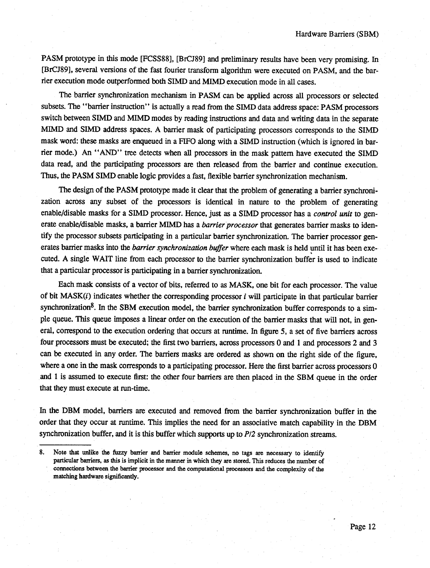PASM prototype in this mode [FCSS88], [BrCJ89] and preliminary results have been very promising. In [BrCJ89], several versions of the fast fourier transform algorithm were executed on PASM, and the barrier execution mode outperformed both SIMD and MIMD execution mode in all cases.

The barrier synchronization mechanism in PASM can be applied across all processors or selected subsets. The " barrier instruction" is actually a read from the SIMD data address space: PASM processors switch between SIMD and MIMD modes by reading instructions and data and writing data in the separate MIMD and SIMD address spaces. A barrier mask of participating processors corresponds to the SIMD mask word: these masks are enqueued in a FIFO along with a SIMD instruction (which is ignored in barrier mode.) An " AND" tree detects when all processors in the mask pattern have executed the SIMD data read, and the participating processors are then released from the barrier and continue execution. Thus, the PASM SIMD enable logic provides a fast, flexible barrier synchronization mechanism.

The design of the PASM prototype made it clear that the problem of generating a barrier synchronization across any subset of the processors is identical in nature to the problem of generating enable/disable masks for a SIMD processor. Hence, just as a SIMD processor has a *control unit* to generate enable/disable masks, a barrier MIMD has a *barrier processor* that generates barrier masks to identify the processor subsets participating in a particular barrier synchronization. The barrier processor generates barrier masks into the *barrier synchronization buffer* where each mask is held until it has been exe cuted. A single WAIT line from each processor to the barrier synchronization buffer is used to indicate that a particular processor is participating in a barrier synchronization.

Each mask consists of a vector of bits, referred to as MASK, one bit for each processor. The value of bit MASK(i) indicates whether the corresponding processor *i* will participate in that particular barrier synchronization $8$ . In the SBM execution model, the barrier synchronization buffer corresponds to a simple queue. This queue imposes a linear order on the execution of the barrier masks that will not, in general, correspond to the execution ordering that occurs at runtime. In figure 5, a set of five barriers across four processors must be executed; the first two barriers, across processors 0 and I and processors 2 and 3 can be executed in any order. The barriers masks are ordered as shown on the right side of the figure, where a one in the mask corresponds to a participating processor. Here the first barrier across processors 0 and I is assumed to execute first: the other four barriers are then placed in the SBM queue in the order that they must execute at run-time.

In the DBM model, barriers are executed and removed from the barrier synchronization buffer in the order that they occur at runtime. This implies the need for an associative match capability in the DBM synchronization buffer, and it is this buffer which supports up to *P/2* synchronization streams.

<sup>8.</sup> Note that unlike the fuzzy barrier and barrier module schemes, no tags are necessary to identify particular barriers, as this is implicit in the manner in which they are stored. This reduces the number of connections between the barrier processor and the computational processors and the complexity of the matching hardware significantly.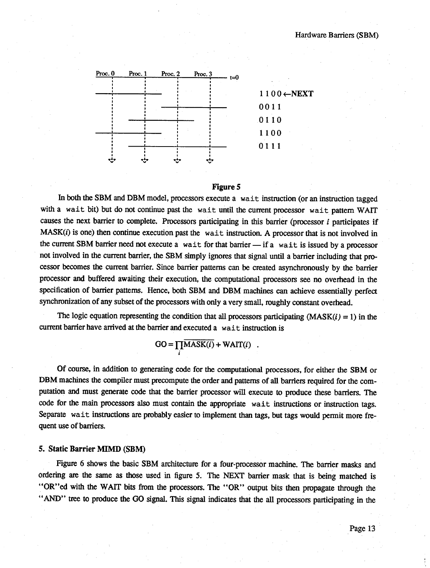

#### **Figure** 5

In both the SBM and DBM model, processors execute a wait instruction (or an instruction tagged with a wait bit) but do not continue past the wait until the current processor wait pattern WAIT causes the next barrier to complete. Processors participating in this barrier (processor *i* participates if  $MASK(i)$  is one) then continue execution past the wait instruction. A processor that is not involved in the current SBM barrier need not execute a wait for that barrier  $-$  if a wait is issued by a processor not involved in the current barrier, the SBM simply ignores that signal until a barrier including that processor becomes the current barrier. Since barrier patterns can be created asynchronously by the barrier processor and buffered awaiting their execution, the computational processors see no overhead in the specification of barrier patterns. Hence, both SBM and DBM machines can achieve essentially perfect synchronization of any subset of the processors with only a very small, roughly constant overhead.

The logic equation representing the condition that all processors participating  $(MASK(i) = 1)$  in the current barrier have arrived at the barrier and executed a wait instruction is

 $GO = \prod_i \overline{MASK(i)} + WAIT(i)$ .

Of course, in addition to generating code for the computational processors, for either the SBM or DBM machines the compiler must precompute the order and patterns of all barriers required for the computation and must generate code that the barrier processor will execute to produce these barriers. The code for the main processors also must contain the appropriate wait instructions or instruction tags. Separate wait instructions are probably easier to implement than tags, but tags would permit more frequent use of barriers.

#### **5. Static Barrier MIMD (SBM)**

Figure 6 shows the basic SBM architecture for a four-processor machine. The barrier masks and ordering are the same as those used in figure 5. The NEXT barrier mask that is being matched is "OR" ed with the WAIT bits from the processors. The "OR" output bits then propagate through the "AND" tree to produce the GO signal. This signal indicates that the all processors participating in the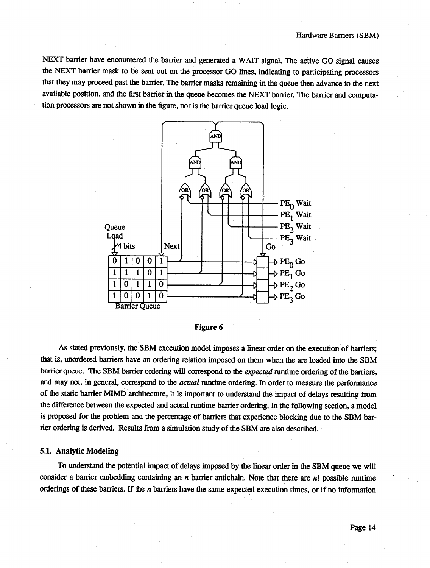NEXT barrier have encountered the barrier and generated a WAIT signal. The active GO signal causes the NEXT barrier mask to be sent out on the processor GO lines, indicating to participating processors that they may proceed past the barrier. The barrier masks remaining in the queue then advance to the next available position, and the first barrier in the queue becomes the NEXT barrier. The barrier and computation processors are not shown in the figure, nor is the barrier queue load logic.





As stated previously, the SBM execution model imposes a linear order on the execution of barriers; that is, unordered barriers have an ordering relation imposed on them when the are loaded into the SBM barrier queue. The SBM barrier ordering will correspond to the *expected* runtime ordering of the barriers, and may not, in general, correspond to the *actual* runtime ordering. In order to measure the performance of the static barrier MIMD architecture, it is important to understand the impact of delays resulting from the difference between the expected and actual runtime barrier ordering. In the following section, a model is proposed for the problem and the percentage of barriers that experience blocking due to the SBM barrier ordering is derived. Results from a simulation study of the SBM are also described.

#### 5.1. Analytic Modeling

To understand the potential impact of delays imposed by the linear order in the SBM queue we will consider a barrier embedding containing an *n* barrier antichain. Note that there are *n*! possible runtime orderings of these barriers. If the *n* barriers have the same expected execution times, or if no information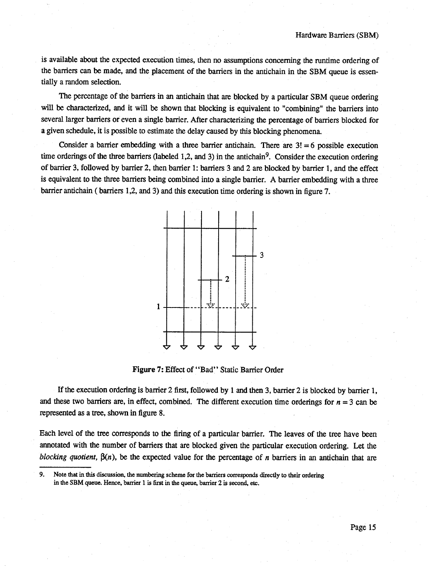is available about the expected execution times, then no assumptions concerning the runtime ordering of the barriers can be made, and the placement of the barriers in the antichain in the SBM queue is essentially a random selection.

The percentage of the barriers in an antichain that are blocked by a particular SBM queue ordering will be characterized, and it will be shown that blocking is equivalent to "combining" the barriers into several larger barriers or even a single barrier. After characterizing the percentage of barriers blocked for a given schedule, it is possible to estimate the delay caused by this blocking phenomena.

Consider a barrier embedding with a three barrier antichain. There are  $3! = 6$  possible execution time orderings of the three barriers (labeled 1,2, and 3) in the antichain<sup>9</sup>. Consider the execution ordering of barrier 3, followed by barrier 2, then barrier 1; barriers 3 and 2 are blocked by barrier 1, and the effect is equivalent to the three barriers being combined into a single barrier. A barrier embedding with a three barrier antichain ( barriers 1,2, and 3) and this execution time ordering is shown in figure 7.



Figure 7: Effect of "Bad" Static Barrier Order

If the execution ordering is barrier 2 first, followed by I and then 3, barrier 2 is blocked by barrier I, and these two barriers are, in effect, combined. The different execution time orderings for  $n = 3$  can be represented as a tree, shown in figure 8.

Each level of the tree corresponds to the firing of a particular barrier. The leaves of the tree have been annotated with the number of barriers that are blocked given the particular execution ordering. Let the *blocking quotient,*  $\beta(n)$ , be the expected value for the percentage of *n* barriers in an antichain that are

<sup>9.</sup> Note that in this discussion, the numbering scheme for the barriers corresponds directly to their ordering in the SBM queue. Hence, barrier I is first in the queue, barrier 2 is second, etc.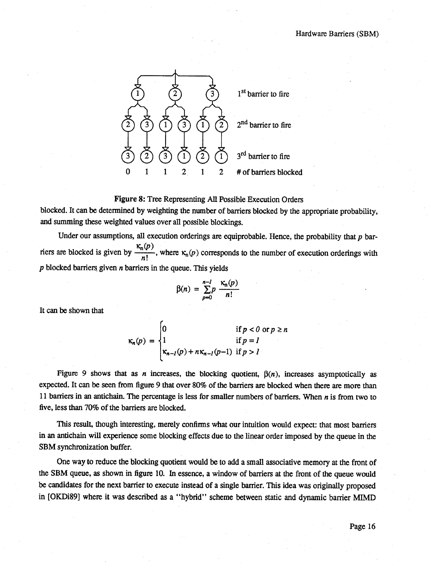![](_page_17_Figure_1.jpeg)

#### Figure 8: Tree Representing AU Possible Execution Orders

blocked. It can be determined by weighting the number of barriers blocked by the appropriate probability, and summing these weighted values over all possible blockings.

Under our assumptions, all execution orderings are equiprobable. Hence, the probability that  $p$  bar- $\kappa_{\rm n}(p)$ riers are blocked is given by  $\frac{n!}{n!}$ , where  $\kappa_n(p)$  corresponds to the number of execution orderings with *p* blocked barriers given *n* barriers in the queue. This yields

$$
\beta(n) = \sum_{p=0}^{n-1} p \frac{\kappa_n(p)}{n!}
$$

It can be shown that

$$
\kappa_n(p) = \begin{cases} 0 & \text{if } p < 0 \text{ or } p \ge n \\ 1 & \text{if } p = l \\ \kappa_{n-l}(p) + n\kappa_{n-l}(p-1) & \text{if } p > l \end{cases}
$$

Figure 9 shows that as *n* increases, the blocking quotient,  $\beta(n)$ , increases asymptotically as expected. It can be seen from figure 9 that over 80% of the barriers are blocked when there are more than 11 barriers in an antichain. The percentage is less for smaller numbers of barriers. When *n* is from two to five, less than 70% of the barriers are blocked.

This result, though interesting, merely confirms what our intuition would expect: that most barriers in an antichain wiU experience some blocking effects due to the linear order imposed by the queue in the SBM synchronization buffer.

One way to reduce the blocking quotient would be to add a small associative memory at the front of the SBM queue, as shown in figure 10. In essence, a window of barriers at the front of the queue would be candidates for the next barrier to execute instead of a single barrier. This idea was originally proposed in [OKDi89] where it was described as a " hybrid" scheme between static and dynamic barrier MIMD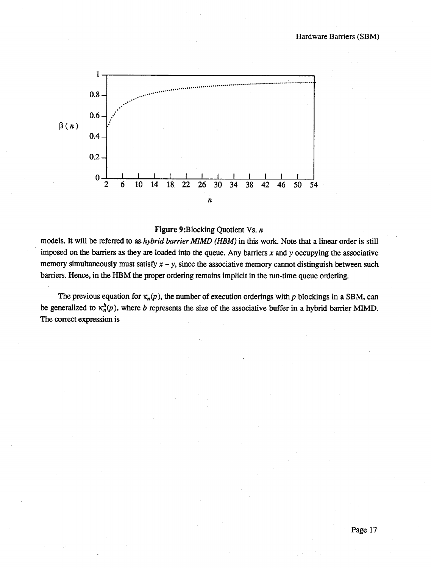![](_page_18_Figure_1.jpeg)

#### Figure 9:Blocking Quotient Vs. *n*

models. It will be referred to as *hybrid barrier MIMD (HBM)* in this work. Note that a linear order is still imposed on the barriers as they are loaded into the queue. Any barriers *x* and *y* occupying the associative memory simultaneously must satisfy  $x - y$ , since the associative memory cannot distinguish between such barriers. Hence, in the HBM the proper ordering remains implicit in the run-time queue ordering.

The previous equation for  $\kappa_n(p)$ , the number of execution orderings with p blockings in a SBM, can be generalized to  $\kappa_n^b(p)$ , where *b* represents the size of the associative buffer in a hybrid barrier MIMD. The correct expression is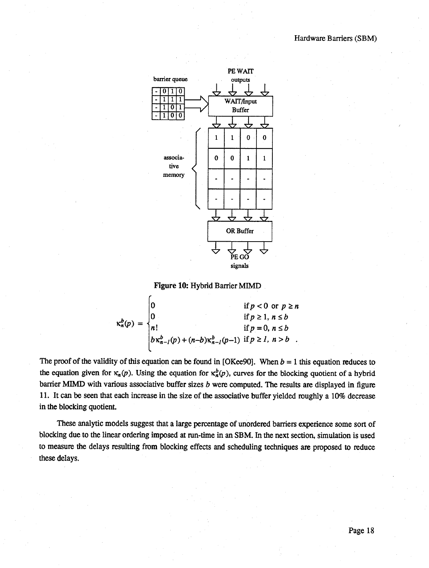![](_page_19_Figure_1.jpeg)

Figure 10: Hybrid Barrier MIMD

$$
\kappa_n^b(p) = \begin{cases} 0 & \text{if } p < 0 \text{ or } p \ge n \\ 0 & \text{if } p \ge 1, n \le b \\ n! & \text{if } p = 0, n \le b \\ b \kappa_{n-l}^b(p) + (n-b) \kappa_{n-l}^b(p-1) & \text{if } p \ge l, n > b \end{cases}
$$

The proof of the validity of this equation can be found in [OKee90]. When  $b = 1$  this equation reduces to the equation given for  $\kappa_n(p)$ . Using the equation for  $\kappa_n^b(p)$ , curves for the blocking quotient of a hybrid barrier MIMD with various associative buffer sizes *b* were computed. The results are displayed in figure 11. It can be seen that each increase in the size of the associative buffer yielded roughly a 10% decrease in the blocking quotient.

These analytic models suggest that a large percentage of unordered barriers experience some sort of blocking due to the linear ordering imposed at run-time in an SBM. In the next section, simulation is used to measure the delays resulting from blocking effects and scheduling techniques are proposed to reduce these delays.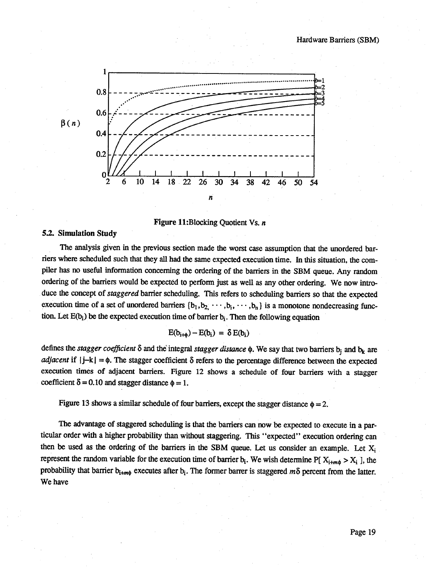![](_page_20_Figure_1.jpeg)

**Figure 11:**Blocking Quotient Vs. *n* 

#### **5.2. Simulation Study**

The analysis given in the previous section made the worst case assumption that the unordered barriers where scheduled such that they all had the same expected execution time. In this situation, the compiler has no useful information concerning the ordering of the barriers in the SBM queue. Any random ordering of the barriers would be expected to perform just as well as any other ordering. We now introduce the concept of *staggered* barrier scheduling. This refers to scheduling barriers so that the expected execution time of a set of unordered barriers  $\{b_1, b_2, \cdots, b_i, \cdots, b_n\}$  is a monotone nondecreasing function. Let  $E(b_i)$  be the expected execution time of barrier  $b_i$ . Then the following equation

$$
E(b_{i+\phi}) - E(b_i) = \delta E(b_i)
$$

defines the *stagger coefficient*  $\delta$  and the integral *stagger distance*  $\phi$ . We say that two barriers  $b_i$  and  $b_k$  are *adjacent* if  $|i-k| = \phi$ . The stagger coefficient  $\delta$  refers to the percentage difference between the expected execution times of adjacent barriers. Figure 12 shows a schedule of four barriers with a stagger coefficient  $\delta = 0.10$  and stagger distance  $\phi = 1$ .

Figure 13 shows a similar schedule of four barriers, except the stagger distance  $\phi = 2$ .

The advantage of staggered scheduling is that the barriers can now be expected to execute in a particular order with a higher probability than without staggering. This " expected" execution ordering can then be used as the ordering of the barriers in the SBM queue. Let us consider an example. Let X<sub>i</sub> represent the random variable for the execution time of barrier  $b_i$ . We wish determine P[  $X_{i+m0} > X_i$  ], the probability that barrier b<sub>i+mo</sub> executes after b<sub>i</sub>. The former barrer is staggered  $m\delta$  percent from the latter. We have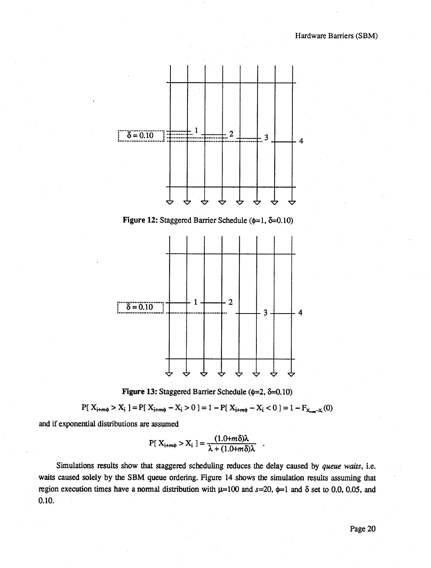![](_page_21_Figure_1.jpeg)

Figure 12: Staggered Barrier Schedule ( $\phi$ =1,  $\delta$ =0.10)

![](_page_21_Figure_3.jpeg)

![](_page_21_Figure_4.jpeg)

$$
P[X_{i+m\phi} > X_i] = P[X_{i+m\phi} - X_i > 0] = 1 - P[X_{i+m\phi} - X_i < 0] = 1 - F_{X_{i+m} - X_i}(0)
$$

and if exponential distributions are assumed

$$
P[X_{i+m\phi} > X_i] = \frac{(1.0+m\delta)\lambda}{\lambda + (1.0+m\delta)\lambda}
$$

Simulations results show that staggered scheduling reduces the delay caused by *queue waits,* i.e. waits caused solely by the SBM queue ordering. Figure 14 shows the simulation results assuming that region execution times have a normal distribution with  $\mu=100$  and  $s=20$ ,  $\phi=1$  and  $\delta$  set to 0.0, 0.05, and 0.10.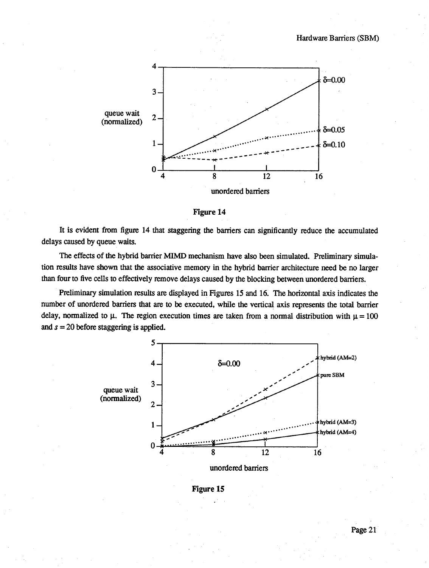![](_page_22_Figure_1.jpeg)

**Figure 14**

It is evident from figure 14 that staggering the barriers can significantly reduce the accumulated delays caused by queue waits.

The effects of the hybrid barrier MIMD mechanism have also been simulated. Preliminary simulation results have shown that the associative memory in the hybrid barrier architecture need be no larger than four to five cells to effectively remove delays caused by the blocking between unordered barriers.

Preliminary simulation results are displayed in Figures 15 and 16. The horizontal axis indicates the number of unordered barriers that are to be executed, while the vertical axis represents the total barrier delay, normalized to  $\mu$ . The region execution times are taken from a normal distribution with  $\mu = 100$ and *s =* 20 before staggering is applied.

![](_page_22_Figure_6.jpeg)

**Figure 15**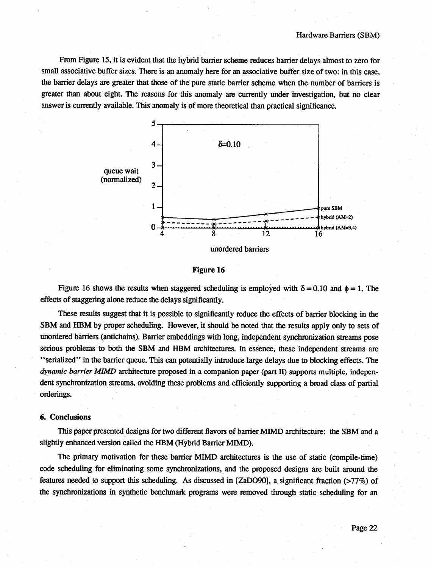From Figure 15, it is evident that the hybrid barrier scheme reduces barrier delays almost to zero for small associative buffer sizes. There is an anomaly here for an associative buffer size of two: in this case, the barrier delays are greater that those of the pure static barrier scheme when the number of barriers is greater than about eight. The reasons for this anomaly are currently under investigation, but no clear answer is currently available. This anomaly is of more theoretical than practical significance.

![](_page_23_Figure_2.jpeg)

#### **Figure 16**

Figure 16 shows the results when staggered scheduling is employed with  $\delta = 0.10$  and  $\phi = 1$ . The effects of staggering alone reduce the delays significantly.

These results suggest that it is possible to significantly reduce the effects of barrier blocking in the SBM and HBM by proper scheduling. However, it should be noted that the results apply only to sets of unordered barriers (antichains). Barrier embeddings with long, independent synchronization streams pose serious problems to both the SBM and HBM architectures. In essence, these independent streams are " serialized" in the barrier queue. This can potentially introduce large delays due to blocking effects. The *dynamic barrier MIMD* architecture proposed in a companion paper (part II) supports multiple, independent synchronization streams, avoiding these problems and efficiently supporting a broad class of partial orderings.

#### **6, Conclusions**

This paper presented designs for two different flavors of barrier MIMD architecture: the SBM and a slightly enhanced version called the HBM (Hybrid Barrier MIMD).

The primary motivation for these barrier MIMD architectures is the use of static (compile-time) code scheduling for eliminating some synchronizations, and the proposed designs are built around the features needed to support this scheduling. As discussed in [ZaDO90], a significant fraction (>77%) of the synchronizations in synthetic benchmark programs were removed through static scheduling for an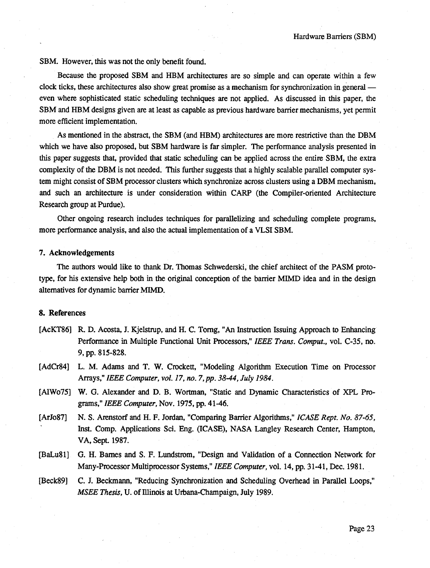SBM. However, this was not the only benefit found.

Because the proposed SBM and HBM architectures are so simple and can operate within a few clock ticks, these architectures also show great promise as a mechanism for synchronization in general even where sophisticated static scheduling techniques are not applied. As discussed in this paper, the SBM and HBM designs given are at least as capable as previous hardware barrier mechanisms, yet permit more efficient implementation.

As mentioned in the abstract, the SBM (and HBM) architectures are more restrictive than the DBM which we have also proposed, but SBM hardware is far simpler. The performance analysis presented in this paper suggests that, provided that static scheduling can be applied across the entire SBM, the extra complexity of the DBM is not needed. This further suggests that a highly scalable parallel computer system might consist of SBM processor clusters which synchronize across clusters using a DBM mechanism, and such an architecture is under consideration within CARP (the Compiler-oriented Architecture Research group at Purdue).

Other ongoing research includes techniques for parallelizing and scheduling complete programs, more performance analysis, and also the actual implementation of a VLSI SBM.

#### 7. Acknowledgements

The authors would like to thank Dr. Thomas Schwederski, the chief architect of the PASM prototype, for his extensive help both in the original conception of the barrier MIMD idea and in the design alternatives for dynamic barrier MIMD.

#### 8. References

- [AcKT86] R. D. Acosta, J. Kjelstrup, and H. C. Tomg, "An Instruction Issuing Approach to Enhancing Performance in Multiple Functional Unit Processors," *IEEE Trans. Comput.,* vol. C-35, no. 9, pp, 815-828.
- [AdCr84] L. M. Adams and T. W. Crockett, "Modeling Algorithm Execution Time on Processor Arrays," *IEEE Computer, vol. 17, no. 7, pp. 38-44, July 1984.*
- [AlWo75] W. G. Alexander and D. B. Wortman, "Static and Dynamic Characteristics of XPL Programs," *IEEE Computer,* Nov. 1975, pp. 41-46.
- [ArJo87] N. S. Arenstorf and H. F. Jordan, "Comparing Barrier Algorithms," *ICASE Rept. No. 87-65,* Inst. Comp. Applications Sci. Eng. (ICASE), NASA Langley Research Center, Hampton, VA, Sept. 1987.
- [BaLu81] G. H. Bames and S. F. Lundstrom, "Design and Validation of a Connection Network for Many-Processor Multiprocessor Systems," *IEEE Computer*, vol. 14, pp. 31-41, Dec. 1981.
- [Beck89] C. J. Beckmann, "Reducing Synchronization and Scheduling Overhead in Parallel Loops," *MSEE Thesis,* U. of Illinois at Utbana-Champaign, July 1989.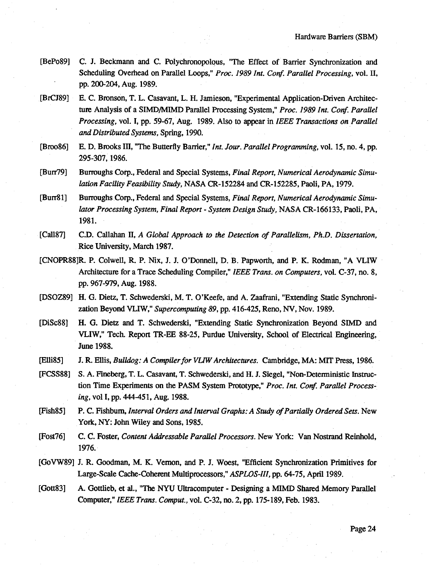- [BePo89] C. J. Beckmann and C. Polychronopolous, "The Effect of Barrier Synchronization and Scheduling Oveihead on Parallel Loops," *Proc. 1989 Int. Conf. Parallel Processing,* vol. II, pp. 200-204, Aug. 1989.
- [BrCJ89] E. C. Bronson, T. L. Casavant, L. H. Jamieson, "Experimental Application-Driven Architecture Analysis of a SIMD/MIMD Parallel Processing System," *Proc. 1989 Int. Corf. Parallel Processing,* vol. I, pp. 59-67, Aug. 1989. Also to appear in *IEEE Transactions on Parallel and Distributed Systems,* Spring, 1990.
- [Broo86] E. D. Brooks III, "The Butterfly Barrier," *Int. Jour. Parallel Programming,* vol. 15, no. 4, pp. 295-307,1986.
- [Burr79] Burroughs Corp., Federal and Special Systems, *Final Report, Numerical Aerodynamic Simulation Facility Feasibility Study,* NASA CR-152284 and CR-152285, Paoli, PA, 1979.
- [Burr81] Burroughs Corp., Federal and Special Systems, *Final Report, Numerical Aerodynamic Simulator Processing System, Final Report - System Design Study,* NASA CR-166133, Paoli, PA, 1981.
- [Call87] **CD.** Callahan **n,** *A Global Approach to the Detection o f Parallelism, PhD. Dissertation,* Rice University, March 1987.
- [CNOPR88]R. P. Colwell, R. P. Nix, J. J. O 'Donnell, D. B. Papworth, and P. K. Rodman, "A VLIW Architecture for a Trace Scheduling Compiler," *IEEE Trans, on Computers,* vol. C-37, no. 8, pp. 967-979, Aug. 1988.
- [DSOZ89] H. G. Dietz, T. Schwederski, M. T. O 'Keefe, and A. Zaafrani, "Extending Static Synchronization Beyond VLIW," *Supercomputing 89,* pp. 416-425, Reno, NV, Nov. 1989.
- [DiSc88] H. G. Dietz and T. Schwederski, "Extending Static Synchronization Beyond SIMD and VLIW," Tech. Report TR-EE 88-25, Purdue University, School of Electrical Engineering, June 1988.
- [Elli85] J. R. Ellis, *Bulldog: A Compilerfor VUW Architectures.* Cambridge, MA: MIT Press, 1986.
- [FCSS88] S. A. Fineberg, T. L. Casavant, T. Schwederski, and H. J. Siegel, "Non-Deterministic Instruction Time Experiments on the PASM System Prototype," *Proc. Int. Cortf. Parallel Processing,* vol I, pp. 444-451, Aug. 1988.
- [Fish85] P. C. Fishburn, *Interval Orders and Interval Graphs: A Study of Partially Ordered Sets*. New York, NY: John Wiley and Sons, 1985.
- [Fost76] C. C. Foster, *Content Addressable Parallel Processors*. New York: Van Nostrand Reinhold, 1976.
- [GoVW89] J. R. Goodman, M. K. Vemon, and P. J. Woest, "Efficient Synchronization Primitives for Large-Scale Cache-Coherent Multiprocessors," *ASPLOS-III,* pp. 64-75, April 1989.
- [Gott83] A. Gottlieb, et al., "The NYU Ultracomputer Designing a MIMD Shared Memory Parallel Computer," *IEEE Trans. Comput.,* vol. C-32, no. 2, pp. 175-189, Feb. 1983.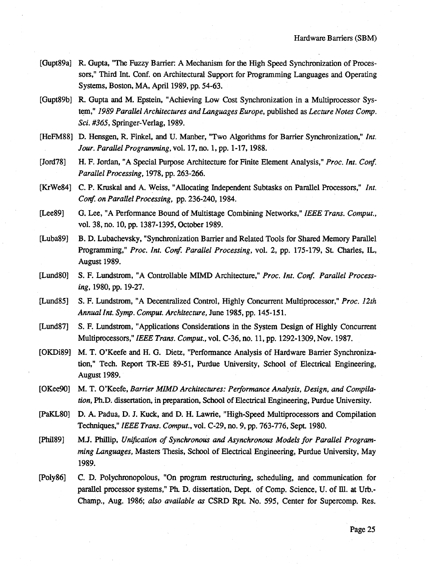- [Gupt89a] R. Gupta, "The Fuzzy Barrier: A Mechanism for the High Speed Synchronization of Processors," Third Int. Conf. on Architectural Support for Programming Languages and Operating Systems, Boston, MA, April 1989, pp. 54-63.
- [Gupt89b] R. Gupta and M. Epstein, "Achieving Low Cost Synchronization in a Multiprocessor System," *1989 Parallel Architectures and Languages Europe,* published as *Lecture Notes Comp. Sci. #365, Springer-Verlag, 1989.*
- [HeFM88] D. Hensgen, R. Finkel, and U. Manber, "Two Algorithms for Barrier Synchronization," *Int. Jour. Parallel Programming,* vol. 17, no. I, pp. 1-17,1988.
- [Jord78] H. F. Jordan, "A Special Purpose Architecture for Finite Element Analysis," *Proc. Int. Conf. Parallel Processing,* 1978, pp. 263-266.
- [KrWe84] C. P. Kruskal and A. Weiss, "Allocating Independent Subtasks on Parallel Processors," *Int. Conf. on Parallel Processing,* pp. 236-240,1984.
- [Lee89] G. Lee, "A Performance Bound of Multistage Combining Networks," *IEEE Trans. Comput.,* vol. 38, no. 10, pp. 1387-1395, October 1989.
- [Luba89] B. D. Lubachevsky, "Synchronization Barrier and Related Tools for Shared Memory Parallel Programming," *Proc. Int. Conf. Parallel Processing,* vol. 2, pp. 175-179, St. Charles, IL, August 1989.
- [Lund80] S. F. Lundstrom, "A Controllable MIMD Architecture," Proc. Int. Conf. Parallel Process*ing,* 1980, pp. 19-27.
- [Lund<sub>85]</sub> S. F. Lundstrom, "A Decentralized Control, Highly Concurrent Multiprocessor," *Proc. 12th Annual Int. Symp. Comput. Architecture, June 1985, pp. 145-151.*
- [Lund<sub>87]</sub> S. F. Lundstrom, "Applications Considerations in the System Design of Highly Concurrent Multiprocessors," *IEEE Trans. Comput.,* vol. C-36, no. 11, pp. 1292-1309, Nov. 1987.
- [OKDi89] M. T. O'Keefe and H. G. Dietz, "Performance Analysis of Hardware Barrier Synchronization," Tech. Report TR-EE 89-51, Purdue University, School of Electrical Engineering, August 1989.
- [OKee90] M. T. O 'Keefe, *Barrier MIMD Architectures: Performance Analysis, Design, and Compilation*, Ph.D. dissertation, in preparation, School of Electrical Engineering, Purdue University.
- [PaKL80] D. A. Padua, D. J. Kuck, and D. H. Lawrie, "High-Speed Multiprocessors and Compilation Techniques," *IEEE Trans. Comput.*, vol. C-29, no. 9, pp. 763-776, Sept. 1980.
- [Phil89] M.J. Phillip, Unification of Synchronous and Asynchronous Models for Parallel Program*ming Languages,* Masters Thesis, School of Electrical Engineering, Purdue University, May 1989.
- [Poly86] C. D. Polychronopolous, "On program restructuring, scheduling, and communication for parallel processor systems," Ph. D. dissertation, Dept. of Comp. Science, U. of Ill. at Urb.-Champ., Aug. 1986; *also available as* CSRD Rpt. No. 595, Center for Supercomp. Res.